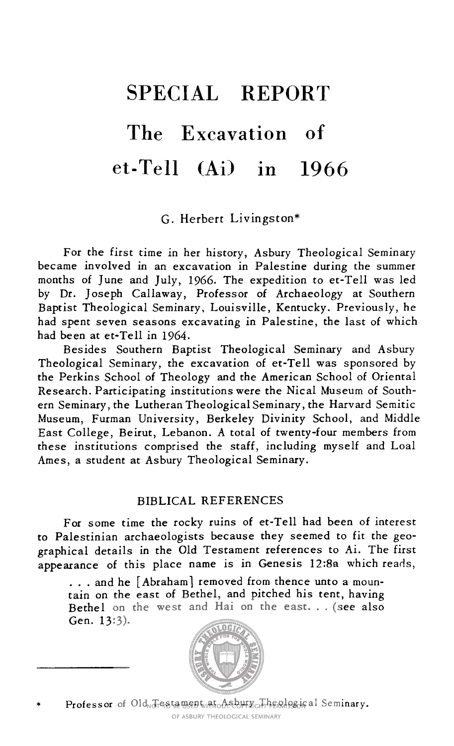# SPECIAL REPORT The Excavation of et-Tell (Ai) in 1966

G. Herbert Livingston\*

For the first time in her history, Asbury Theological Seminary became involved in an excavation in Palestine during the summer months of June and July, 1966. The expedition to et-Tell was led by Dr. Joseph Callaway, Professor of Archaeology at Southern Baptist Theological Seminary, Louisville, Kentucky. Previously, he had spent seven seasons excavating in Palestine, the last of which had been at et-Tell in 1964.

Besides Southern Baptist Theological Seminary and Asbury Theological Seminary, the excavation of et-Tell was sponsored by the Perkins School of Theology and the American School of Oriental Research. Participating institutions were the Nical Museum of South ern Seminary, the Lutheran Theological Seminary , the Harvard Semitic Museum, Furman University, Berkeley Divinity School, and Middle East College, Beirut, Lebanon. <sup>A</sup> total of twenty-four members from these institutions comprised the staff, including myself and Loal Ames, <sup>a</sup> student at Asbury Theological Seminary.

#### BIBLICAL REFERENCES

For some time the rocky ruins of et-Tell had been of interest to Palestinian archaeologists because they seemed to fit the geo graphical details in the Old Testament references to Ai. The first appearance of this place name is in Genesis 12:8a which reads,

... and he [Abraham] removed from thence unto a mountain on the east of Bethel, and pitched his tent, having Bethel on the west and Hai on the east. . . (see also Gen. 13:3).

Professor of Old Testament at Asbury Theological Seminary.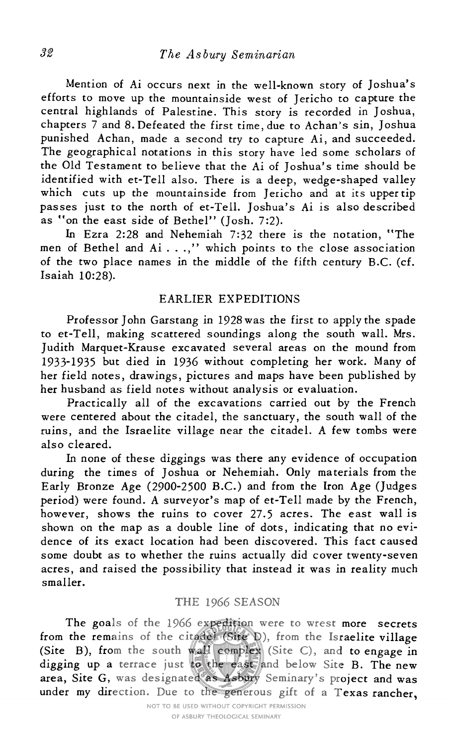Mention of Ai occurs next in the well-known story of Joshua's efforts to move up the mountainside west of Jericho to capture the central highlands of Palestine. This story is recorded in Joshua, chapters <sup>7</sup> and 8. Defeated the first time, due to Achan's sin, Joshua punished Achan, made <sup>a</sup> second try to capture Ai, and succeeded. The geographical notations in this story have led some scholars of the Old Testament to believe that the Ai of Joshua's time should be identified with et-Tell also. There is <sup>a</sup> deep, wedge-shaped valley which cuts up the mountainside from Jericho and at its upper tip passes just to the north of et-Tell. Joshua's Ai is also described as "on the east side of Bethel" (Josh. 7:2).

In Ezra 2:28 and Nehemiah 7:32 there is the notation, "The men of Bethel and Ai . . .," which points to the close association of the two place names in the middle of the fifth century B.C. (cf. Isaiah 10:28).

## EARLIER EXPEDITIONS

Professor John Garstang in <sup>1928</sup> was the first to apply the spade to et-Tell, making scattered soundings along the south wall. Mrs. Judith Marquet-Krause excavated several areas on the mound from 1933-1935 but died in 1936 without completing her work. Many of her field notes, drawings, pictures and maps have been published by her husband as field notes without analysis or evaluation.

Practically all of the excavations carried out by the French were centered about the citadel, the sanctuary, the south wall of the ruins, and the Israelite village near the citadel. <sup>A</sup> few tombs were also cleared.

In none of these diggings was there any evidence of occupation during the times of Joshua or Nehemiah. Only materials from the Early Bronze Age (2900-2500 B.C.) and from the Iron Age (Judges period) were found. <sup>A</sup> surveyor's map of et-Tell made by the French, however, shows the ruins to cover 27.5 acres. The east wall is shown on the map as <sup>a</sup> double line of dots, indicating that no evi dence of its exact location had been discovered. This fact caused some doubt as to whether the ruins actually did cover twenty-seven acres, and raised the possibility that instead it was in reality much smaller.

#### THE 1966 SEASON

The goals of the 1966 expedition were to wrest more secrets from the remains of the citadel (Site D), from the Israelite village (Site B), from the south wall complex (Site C), and to engage in digging up <sup>a</sup> terrace just to the east and below Site B. The new area. Site G, was designated as Asbury Seminary's project and was under my direction. Due to the generous gift of <sup>a</sup> Texas rancher,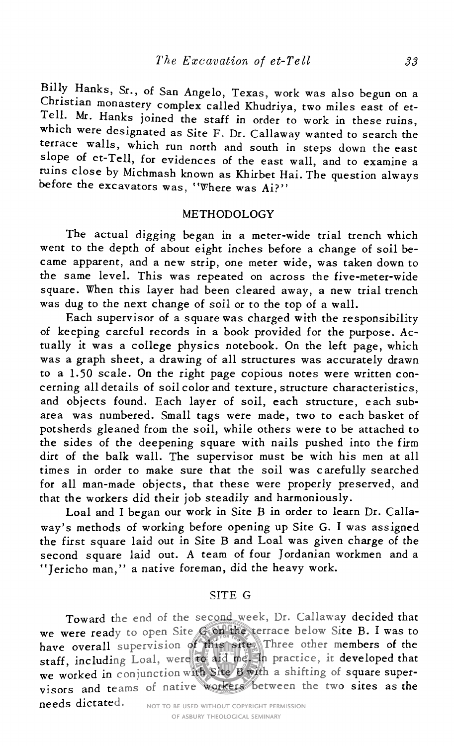Billy Hanks, Sr., of San Angelo, Texas, work was also begun on <sup>a</sup> Christian monastery complex called Khudriya, two miles east of et-<br>Tell. Mr. Hanks joined the staff in order to work in these ruins, which were designated as Site F. Dr. Callaway wanted to search the terrace walls, which run north and south in steps down the east slope of et-Tell, for evidences of the east wall, and to examine <sup>a</sup> ruins close by Michmash known as Khirbet Hai. The question always before the excavators was, "Where was Ai?"

### METHODOLOGY

The actual digging began in <sup>a</sup> meter-wide trial trench which went to the depth of about eight inches before <sup>a</sup> change of soil be came apparent, and <sup>a</sup> new strip, one meter wide, was taken down to the same level. This was repeated on across the five-meter-wide square. When this layer had been cleared away, <sup>a</sup> new trial trench was dug to the next change of soil or to the top of <sup>a</sup> wall.

Each supervisor of <sup>a</sup> square was charged with the responsibility of keeping careful records in <sup>a</sup> book provided for the purpose. Ac tually it was <sup>a</sup> college physics notebook. On the left page, which was <sup>a</sup> graph sheet, <sup>a</sup> drawing of all structures was accurately drawn to <sup>a</sup> L50 scale. On the right page copious notes were written con cerning all details of soil color and texture, structure characteristics, and objects found. Each layer of soil, each structure, each subarea was numbered. Small tags were made, two to each basket of potsherds gleaned from the soil, while others were to be attached to the sides of the deepening square with nails pushed into the firm dirt of the balk wall. The supervisor must be with his men at all times in order to make sure that the soil was carefully searched for all man-made objects, that these were properly preserved, and that the workers did their job steadily and harmoniously.

Loal and I began our work in Site <sup>B</sup> in order to learn Dr. Calla way's methods of working before opening up Site G. I was assigned the first square laid out in Site <sup>B</sup> and Loal was given charge of the second square laid out. <sup>A</sup> team of four Jordanian workmen and <sup>a</sup> "Jericho man," <sup>a</sup> native foreman, did the heavy work.

## SITE G

Toward the end of the second week. Dr. Callaway decided that we were ready to open Site <sup>G</sup> on the terrace below Site B. I was to have overall supervision of this site. Three other members of the staff, including Loal, were to aid me. In practice, it developed that we worked in conjunction with Site B with a shifting of square supervisors and teams of native workers between the two sites as the needs dictated.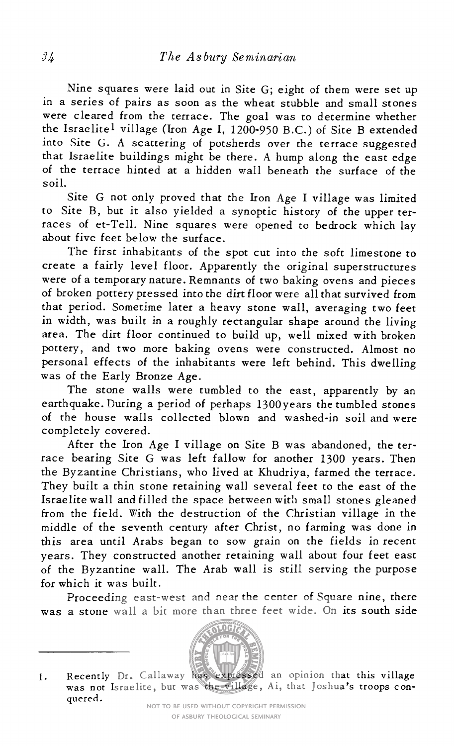Nine squares were laid out in Site G; eight of them were set up in <sup>a</sup> series of pairs as soon as the wheat stubble and small stones were cleared from the terrace. The goal was to determine whether the Israelite<sup>1</sup> village (Iron Age I, 1200-950 B.C.) of Site B extended into Site G. <sup>A</sup> scattering of potsherds over the terrace suggested that Israelite buildings might be there. <sup>A</sup> hump along the east edge of the terrace hinted at <sup>a</sup> hidden wall beneath the surface of the soil.

Site <sup>G</sup> not only proved that the Iron Age I village was limited to Site B, but it also yielded <sup>a</sup> synoptic history of the upper ter races of et-Tell. Nine squares were opened to bedrock which lay about five feet below the surface.

The first inhabitants of the spot cut into the soft limestone to create a fairly level floor. Apparently the original superstructures were of a temporary nature. Remnants of two baking ovens and pieces of broken pottery pressed into the dirt floor were all that survived from that period. Sometime later <sup>a</sup> heavy stone wall, averaging two feet in width, was built in <sup>a</sup> roughly rectangular shape around the living area. The dirt floor continued to build up, well mixed with broken pottery, and two more baking ovens were constructed. Almost no personal effects of the inhabitants were left behind. This dwelling was of the Early Bronze Age.

The stone walls were tumbled to the east, apparently by an earthquake. During <sup>a</sup> period of perhaps 1300years the tumbled stones of the house walls collected blown and washed-in soil and were completely covered.

After the Iron Age I village on Site <sup>B</sup> was abandoned, the ter race bearing Site <sup>G</sup> was left fallow for another <sup>1300</sup> years. Then the Byzantine Christians, who lived at Khudriya, farmed the terrace. They built <sup>a</sup> thin stone retaining wall several feet to the east of the Israelite wall and filled the space between with small stones gleaned from the field. With the destruction of the Christian village in the middle of the seventh century after Christ, no farming was done in this area until Arabs began to sow grain on the fields in recent years. They constructed another retaining wall about four feet east of the Byzantine wall. The Arab wall is still serving the purpose for which it was built.

Proceeding east-west and near the center of Square nine, there was <sup>a</sup> stone wall <sup>a</sup> bit more than three feet wide. On its south side

<sup>1.</sup> Recently Dr. Callaway has expressed an opinion that this village was not Israelite, but was the village, Ai, that Joshua's troops con quered.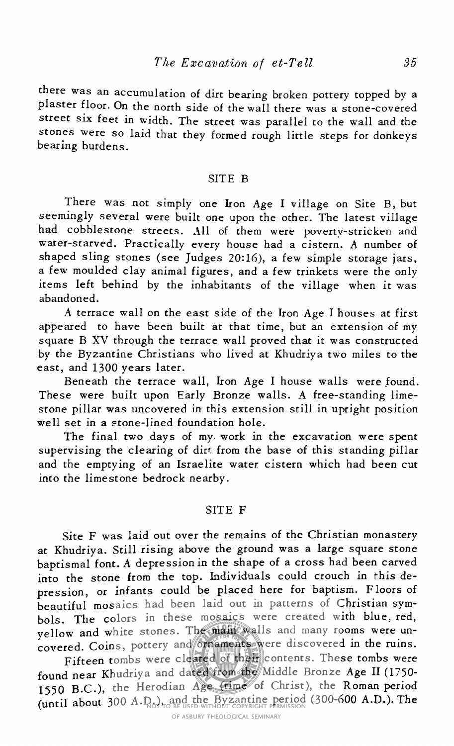there was an accumulation of dirt bearing broken pottery topped by <sup>a</sup> plaster floor. On the north side of the wall there was <sup>a</sup> stone-covered street six feet in width. The street was parallel to the wall and the stones were so laid that they formed rough little steps for donkeys bearing burdens.

## SITE B

There was not simply one Iron Age I village on Site B, but seemingly several were built one upon the other. The latest village had cobblestone streets. All of them were poverty-stricken and water-starved. Practically every house had <sup>a</sup> cistern. <sup>A</sup> number of shaped sling stones (see Judges 20:16), <sup>a</sup> few simple storage jars, <sup>a</sup> few moulded clay animal figures, and <sup>a</sup> few trinkets were the only items left behind by the inhabitants of the village when it was abandoned.

<sup>A</sup> terrace wall on the east side of the Iron Age I houses at first appeared to have been built at that time, but an extension of my square <sup>B</sup> XV through the terrace wall proved that it was constructed by the Byzantine Christians who lived at Khudriya two miles to the east, and 1300 years later.

Beneath the terrace wall. Iron Age I house walls were found. These were built upon Early Bronze walls. A free-standing limestone pillar was uncovered in this extension still in upright position well set in a stone-lined foundation hole.

The final two days of my work in the excavation were spent supervising the clearing of dirt from the base of this standing pillar and the emptying of an Israelite water cistern which had been cut into the limestone bedrock nearby.

#### SITE F

Site F was laid out over the remains of the Christian monastery at Khudriya. Still rising above the ground was <sup>a</sup> large square stone baptismal font. <sup>A</sup> depression in the shape of <sup>a</sup> cross had been carved into the stone from the top. Individuals could crouch in this de pression, or infants could be placed here for baptism. Floors of beautiful mosaics had been laid out in patterns of Christian sym bols. The colors in these mosaics were created with blue, red, yellow and white stones. The main walls and many rooms were un covered. Coins, pottery and ornaments were discovered in the ruins.

Fifteen tombs were cleared of their contents. These tombs were found near Khudriya and dated from the Middle Bronze Age II (1750- <sup>1550</sup> B.C.), the Herodian Age (time of Christ), the Roman period (until about <sup>300</sup> A.D.), and the Byzantine period (300-600 A.D.). The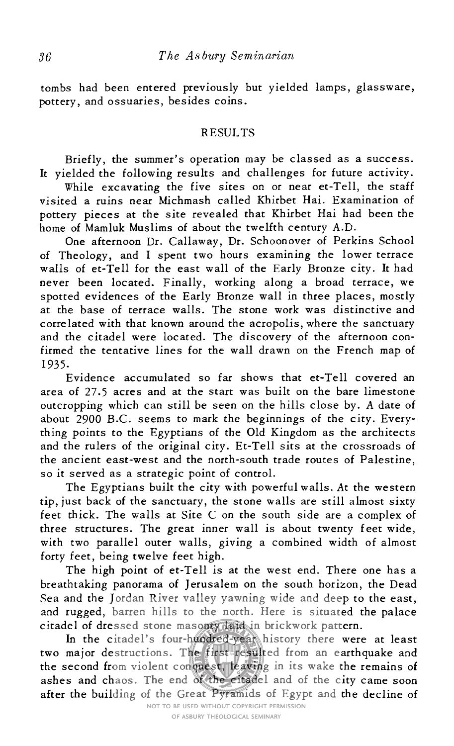tombs had been entered previously but yielded lamps, glassware, pottery, and ossuaries, besides coins.

# RESULTS

Briefly, the summer's operation may be classed as <sup>a</sup> success. It yielded the following results and challenges for future activity.

While excavating the five sites on or near et-Tell, the staff visited a ruins near Michmash called Khirbet Hai. Examination of pottery pieces at the site revealed that Khirbet Hai had been the home of Mamluk Muslims of about the twelfth century A.D.

One afternoon Dr. Callaway, Dr. Schoonover of Perkins School of Theology, and I spent two hours examining the lower terrace walls of et-Tell for the east wall of the Early Bronze city. It had never been located. Finally, working along <sup>a</sup> broad terrace, we spotted evidences of the Early Bronze wall in three places, mostly at the base of terrace walls. The stone work was distinctive and correlated with that known around the acropolis, where the sanctuary and the citadel were located. The discovery of the afternoon con firmed the tentative lines for the wall drawn on the French map of 1935.

Evidence accumulated so far shows that et-Tell covered an area of 27.5 acres and at the start was built on the bare limestone outcropping which can still be seen on the hills close by. <sup>A</sup> date of about 2900 B.C. seems to mark the beginnings of the city. Everything points to the Egyptians of the Old Kingdom as the architects and the rulers of the original city. Et-Tell sits at the crossroads of the ancient east-west and the north-south trade routes of Palestine, so it served as <sup>a</sup> strategic point of control.

The Egyptians built the city with powerful walls. At the western tip, just back of the sanctuary, the stone walls are still almost sixty feet thick. The walls at Site <sup>C</sup> on the south side are <sup>a</sup> complex of three structures. The great inner wall is about twenty feet wide, with two parallel outer walls, giving <sup>a</sup> combined width of almost forty feet, being twelve feet high.

The high point of et-Tell is at the west end. There one has <sup>a</sup> breathtaking panorama of Jerusalem on the south horizon, the Dead Sea and the Jordan River valley yawning wide and deep to the east, and rugged, barren hills to the north. Here is situated the palace citadel of dressed stone masonry laid in brickwork pattern.

In the citadel's four-hundred-year history there were at least two major destructions. The first resulted from an earthquake and the second from violent conquest, leaving in its wake the remains of ashes and chaos. The end of the citadel and of the city came soon after the building of the Great Pyramids of Egypt and the decline of